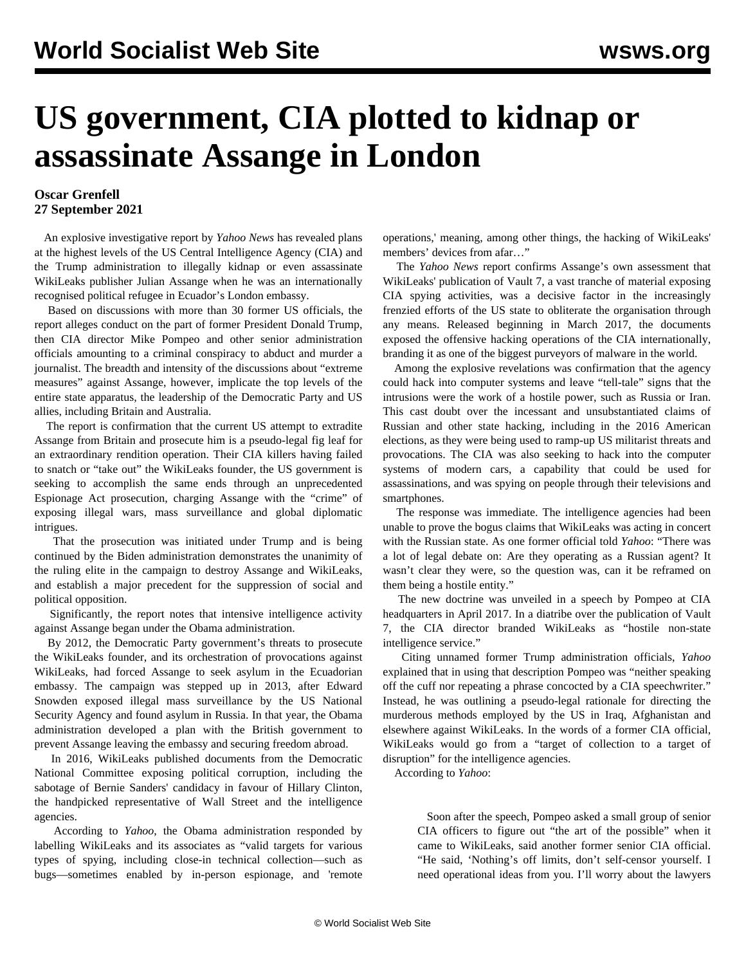## **US government, CIA plotted to kidnap or assassinate Assange in London**

## **Oscar Grenfell 27 September 2021**

 An explosive investigative report by *Yahoo News* has revealed plans at the highest levels of the US Central Intelligence Agency (CIA) and the Trump administration to illegally kidnap or even assassinate WikiLeaks publisher Julian Assange when he was an internationally recognised political refugee in Ecuador's London embassy.

 Based on discussions with more than 30 former US officials, the report alleges conduct on the part of former President Donald Trump, then CIA director Mike Pompeo and other senior administration officials amounting to a criminal conspiracy to abduct and murder a journalist. The breadth and intensity of the discussions about "extreme measures" against Assange, however, implicate the top levels of the entire state apparatus, the leadership of the Democratic Party and US allies, including Britain and Australia.

 The report is confirmation that the current US attempt to extradite Assange from Britain and prosecute him is a pseudo-legal fig leaf for an extraordinary rendition operation. Their CIA killers having failed to snatch or "take out" the WikiLeaks founder, the US government is seeking to accomplish the same ends through an unprecedented Espionage Act prosecution, charging Assange with the "crime" of exposing illegal wars, mass surveillance and global diplomatic intrigues.

 That the prosecution was initiated under Trump and is being continued by the Biden administration demonstrates the unanimity of the ruling elite in the campaign to destroy Assange and WikiLeaks, and establish a major precedent for the suppression of social and political opposition.

 Significantly, the report notes that intensive intelligence activity against Assange began under the Obama administration.

 By 2012, the Democratic Party government's threats to prosecute the WikiLeaks founder, and its orchestration of provocations against WikiLeaks, had forced Assange to seek asylum in the Ecuadorian embassy. The campaign was stepped up in 2013, after Edward Snowden exposed illegal mass surveillance by the US National Security Agency and found asylum in Russia. In that year, the Obama administration developed a plan with the British government to prevent Assange leaving the embassy and securing freedom abroad.

 In 2016, WikiLeaks published documents from the Democratic National Committee exposing political corruption, including the sabotage of Bernie Sanders' candidacy in favour of Hillary Clinton, the handpicked representative of Wall Street and the intelligence agencies.

 According to *Yahoo*, the Obama administration responded by labelling WikiLeaks and its associates as "valid targets for various types of spying, including close-in technical collection—such as bugs—sometimes enabled by in-person espionage, and 'remote

operations,' meaning, among other things, the hacking of WikiLeaks' members' devices from afar…"

 The *Yahoo News* report confirms Assange's own assessment that WikiLeaks' publication of Vault 7, a vast tranche of material exposing CIA spying activities, was a decisive factor in the increasingly frenzied efforts of the US state to obliterate the organisation through any means. Released beginning in March 2017, the documents exposed the offensive hacking operations of the CIA internationally, branding it as one of the biggest purveyors of malware in the world.

 Among the explosive revelations was confirmation that the agency could hack into computer systems and leave "tell-tale" signs that the intrusions were the work of a hostile power, such as Russia or Iran. This cast doubt over the incessant and unsubstantiated claims of Russian and other state hacking, including in the 2016 American elections, as they were being used to ramp-up US militarist threats and provocations. The CIA was also seeking to hack into the computer systems of modern cars, a capability that could be used for assassinations, and was spying on people through their televisions and smartphones.

 The response was immediate. The intelligence agencies had been unable to prove the bogus claims that WikiLeaks was acting in concert with the Russian state. As one former official told *Yahoo*: "There was a lot of legal debate on: Are they operating as a Russian agent? It wasn't clear they were, so the question was, can it be reframed on them being a hostile entity."

 The new doctrine was unveiled in a speech by Pompeo at CIA headquarters in April 2017. In a diatribe over the publication of Vault 7, the CIA director branded WikiLeaks as "hostile non-state intelligence service."

 Citing unnamed former Trump administration officials, *Yahoo* explained that in using that description Pompeo was "neither speaking off the cuff nor repeating a phrase concocted by a CIA speechwriter." Instead, he was outlining a pseudo-legal rationale for directing the murderous methods employed by the US in Iraq, Afghanistan and elsewhere against WikiLeaks. In the words of a former CIA official, WikiLeaks would go from a "target of collection to a target of disruption" for the intelligence agencies.

According to *Yahoo*:

 Soon after the speech, Pompeo asked a small group of senior CIA officers to figure out "the art of the possible" when it came to WikiLeaks, said another former senior CIA official. "He said, 'Nothing's off limits, don't self-censor yourself. I need operational ideas from you. I'll worry about the lawyers